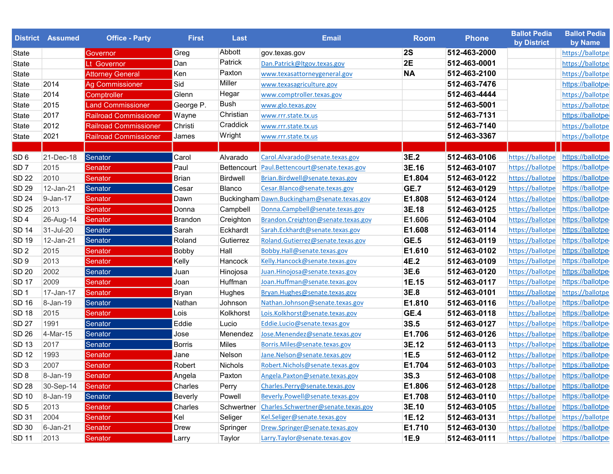|                  | <b>District Assumed</b> | <b>Office - Party</b>        | <b>First</b>  | <b>Last</b>        | <b>Email</b>                                | <b>Room</b> | <b>Phone</b> | <b>Ballot Pedia</b><br>by District | <b>Ballot Pedia</b><br>by Name |
|------------------|-------------------------|------------------------------|---------------|--------------------|---------------------------------------------|-------------|--------------|------------------------------------|--------------------------------|
| State            |                         | Governor                     | Greg          | Abbott             | gov.texas.gov                               | <b>2S</b>   | 512-463-2000 |                                    | https://ballotpe               |
| State            |                         | Lt Governor                  | Dan           | Patrick            | Dan.Patrick@ltgov.texas.gov                 | 2E          | 512-463-0001 |                                    | https://ballotpe               |
| State            |                         | <b>Attorney General</b>      | Ken           | Paxton             | www.texasattorneygeneral.gov                | <b>NA</b>   | 512-463-2100 |                                    | https://ballotpe               |
| State            | 2014                    | <b>Ag Commissioner</b>       | Sid           | Miller             | www.texasagriculture.gov                    |             | 512-463-7476 |                                    | https://ballotpe               |
| State            | 2014                    | Comptroller                  | Glenn         | Hegar              | www.comptroller.texas.gov                   |             | 512-463-4444 |                                    | https://ballotpe               |
| State            | 2015                    | <b>Land Commissioner</b>     | George P.     | Bush               | www.glo.texas.gov                           |             | 512-463-5001 |                                    | https://ballotpe               |
| State            | 2017                    | <b>Railroad Commissioner</b> | Wayne         | Christian          | www.rrr.state.tx.us                         |             | 512-463-7131 |                                    | https://ballotpe               |
| State            | 2012                    | <b>Railroad Commissioner</b> | Christi       | Craddick           | www.rrr.state.tx.us                         |             | 512-463-7140 |                                    | https://ballotpe               |
| State            | 2021                    | <b>Railroad Commissioner</b> | James         | Wright             | www.rrr.state.tx.us                         |             | 512-463-3367 |                                    | https://ballotpe               |
|                  |                         |                              |               |                    |                                             |             |              |                                    |                                |
| SD 6             | 21-Dec-18               | Senator                      | Carol         | Alvarado           | Carol.Alvarado@senate.texas.gov             | 3E.2        | 512-463-0106 | https://ballotpe                   | https://ballotpe               |
| SD <sub>7</sub>  | 2015                    | Senator                      | Paul          | <b>Bettencourt</b> | Paul.Bettencourt@senate.texas.gov           | 3E.16       | 512-463-0107 | https://ballotpe                   | https://ballotpe               |
| <b>SD 22</b>     | 2010                    | Senator                      | Brian         | <b>Birdwell</b>    | Brian.Birdwell@senate.texas.gov             | E1.804      | 512-463-0122 | https://ballotpe                   | https://ballotpe               |
| <b>SD 29</b>     | 12-Jan-21               | Senator                      | Cesar         | Blanco             | Cesar.Blanco@senate.texas.gov               | <b>GE.7</b> | 512-463-0129 | https://ballotpe                   | https://ballotpe               |
| <b>SD 24</b>     | 9-Jan-17                | Senator                      | Dawn          |                    | Buckingham Dawn.Buckingham@senate.texas.gov | E1.808      | 512-463-0124 | https://ballotpe                   | https://ballotpe               |
| <b>SD 25</b>     | 2013                    | Senator                      | Donna         | Campbell           | Donna.Campbell@senate.texas.gov             | 3E.18       | 512-463-0125 | https://ballotpe                   | https://ballotpe               |
| SD <sub>4</sub>  | 26-Aug-14               | Senator                      | Brandon       | Creighton          | Brandon.Creighton@senate.texas.gov          | E1.606      | 512-463-0104 | https://ballotpe                   | https://ballotpe               |
| <b>SD 14</b>     | 31-Jul-20               | Senator                      | Sarah         | Eckhardt           | Sarah.Eckhardt@senate.texas.gov             | E1.608      | 512-463-0114 | https://ballotpe                   | https://ballotpe               |
| <b>SD 19</b>     | 12-Jan-21               | Senator                      | Roland        | Gutierrez          | Roland.Gutierrez@senate.texas.gov           | <b>GE.5</b> | 512-463-0119 | https://ballotpe                   | https://ballotpe               |
| SD <sub>2</sub>  | 2015                    | Senator                      | Bobby         | Hall               | Bobby.Hall@senate.texas.gov                 | E1.610      | 512-463-0102 | https://ballotpe                   | https://ballotpe               |
| SD <sub>9</sub>  | 2013                    | Senator                      | Kelly         | Hancock            | Kelly.Hancock@senate.texas.gov              | 4E.2        | 512-463-0109 | https://ballotpe                   | https://ballotpe               |
| <b>SD 20</b>     | 2002                    | Senator                      | Juan          | Hinojosa           | Juan.Hinojosa@senate.texas.gov              | 3E.6        | 512-463-0120 | https://ballotpe                   | https://ballotpe               |
| <b>SD 17</b>     | 2009                    | Senator                      | Joan          | Huffman            | Joan.Huffman@senate.texas.gov               | 1E.15       | 512-463-0117 | https://ballotpe                   | https://ballotpe               |
| SD <sub>1</sub>  | 17-Jan-17               | Senator                      | Bryan         | Hughes             | Bryan.Hughes@senate.texas.gov               | 3E.8        | 512-463-0101 | https://ballotpe                   | https://ballotpe               |
| <b>SD 16</b>     | 8-Jan-19                | Senator                      | Nathan        | Johnson            | Nathan.Johnson@senate.texas.gov             | E1.810      | 512-463-0116 | https://ballotpe                   | https://ballotpe               |
| <b>SD 18</b>     | 2015                    | Senator                      | Lois          | Kolkhorst          | Lois.Kolkhorst@senate.texas.gov             | GE.4        | 512-463-0118 | https://ballotpe                   | https://ballotpe               |
| <b>SD 27</b>     | 1991                    | Senator                      | Eddie         | Lucio              | Eddie.Lucio@senate.texas.gov                | 3S.5        | 512-463-0127 | https://ballotpe                   | https://ballotpe               |
| <b>SD 26</b>     | 4-Mar-15                | Senator                      | Jose          | Menendez           | Jose.Menendez@senate.texas.gov              | E1.706      | 512-463-0126 | https://ballotpe                   | https://ballotpe               |
| <b>SD 13</b>     | 2017                    | Senator                      | <b>Borris</b> | Miles              | Borris.Miles@senate.texas.gov               | 3E.12       | 512-463-0113 | https://ballotpe                   | https://ballotpe               |
| <b>SD 12</b>     | 1993                    | Senator                      | Jane          | Nelson             | Jane.Nelson@senate.texas.gov                | 1E.5        | 512-463-0112 | https://ballotpe                   | https://ballotpe               |
| SD <sub>3</sub>  | 2007                    | Senator                      | Robert        | Nichols            | Robert.Nichols@senate.texas.gov             | E1.704      | 512-463-0103 | https://ballotpe https://ballotpe  |                                |
| SD <sub>8</sub>  | 8-Jan-19                | Senator                      | Angela        | Paxton             | Angela.Paxton@senate.texas.gov              | 3S.3        | 512-463-0108 | https://ballotpe https://ballotpe  |                                |
| <b>SD 28</b>     | 30-Sep-14               | Senator                      | Charles       | Perry              | Charles.Perry@senate.texas.gov              | E1.806      | 512-463-0128 | https://ballotpe https://ballotpe  |                                |
| SD 10            | 8-Jan-19                | Senator                      | Beverly       | Powell             | Beverly.Powell@senate.texas.gov             | E1.708      | 512-463-0110 | https://ballotpe                   | https://ballotpe               |
| SD <sub>5</sub>  | 2013                    | Senator                      | Charles       | Schwertner         | Charles.Schwertner@senate.texas.gov         | 3E.10       | 512-463-0105 | https://ballotpe https://ballotpe  |                                |
| SD 31            | 2004                    | Senator                      | Kel           | Seliger            | Kel.Seliger@senate.texas.gov                | 1E.12       | 512-463-0131 | https://ballotpe https://ballotpe  |                                |
| SD <sub>30</sub> | 6-Jan-21                | Senator                      | Drew          | Springer           | Drew.Springer@senate.texas.gov              | E1.710      | 512-463-0130 | https://ballotpe https://ballotpe  |                                |
| SD 11            | 2013                    | Senator                      | Larry         | Taylor             | Larry.Taylor@senate.texas.gov               | 1E.9        | 512-463-0111 | https://ballotpe https://ballotpe  |                                |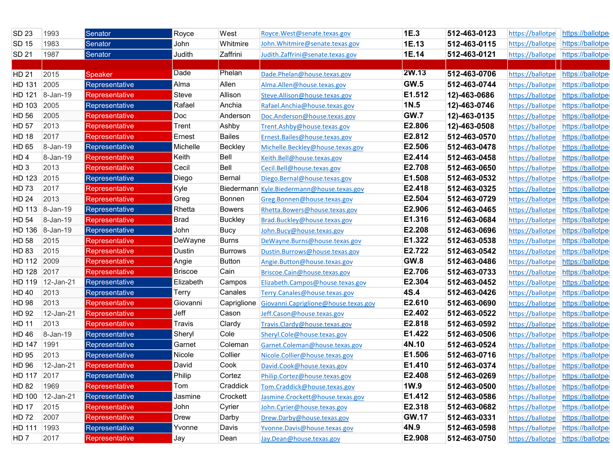| SD 23           | 1993             | Senator               | Royce          | West           | Royce.West@senate.texas.gov          | 1E.3         | 512-463-0123 | https://ballotpe                  | https://ballotpe |
|-----------------|------------------|-----------------------|----------------|----------------|--------------------------------------|--------------|--------------|-----------------------------------|------------------|
| SD 15           | 1983             | Senator               | John           | Whitmire       | John. Whitmire@senate.texas.gov      | 1E.13        | 512-463-0115 | https://ballotpe                  | https://ballotpe |
| <b>SD 21</b>    | 1987             | Senator               | Judith         | Zaffrini       | Judith.Zaffrini@senate.texas.gov     | 1E.14        | 512-463-0121 | https://ballotpe                  | https://ballotpe |
|                 |                  |                       |                |                |                                      |              |              |                                   |                  |
| HD 21           | 2015             | <b>Speaker</b>        | Dade           | Phelan         | Dade.Phelan@house.texas.gov          | <b>2W.13</b> | 512-463-0706 | https://ballotpe https://ballotpe |                  |
| HD 131          | 2005             | Representative        | Alma           | Allen          | Alma.Allen@house.texas.gov           | <b>GW.5</b>  | 512-463-0744 | https://ballotpe                  | https://ballotpe |
| HD 121          | 8-Jan-19         | Representative        | Steve          | Allison        | Steve.Allison@house.texas.gov        | E1.512       | 12)-463-0686 | https://ballotpe                  | https://ballotpe |
| HD 103          | 2005             | Representative        | Rafael         | Anchia         | Rafael.Anchia@house.texas.gov        | 1N.5         | 12)-463-0746 | https://ballotpe                  | https://ballotpe |
| HD 56           | 2005             | Representative        | Doc            | Anderson       | Doc.Anderson@house.texas.gov         | GW.7         | 12)-463-0135 | https://ballotpe                  | https://ballotpe |
| <b>HD 57</b>    | 2013             | Representative        | Trent          | Ashby          | Trent.Ashby@house.texas.gov          | E2.806       | 12)-463-0508 | https://ballotpe                  | https://ballotpe |
| <b>HD 18</b>    | 2017             | Representative        | Ernest         | <b>Bailes</b>  | Ernest.Bailes@house.texas.gov        | E2.812       | 512-463-0570 | https://ballotpe                  | https://ballotpe |
| HD 65           | 8-Jan-19         | Representative        | Michelle       | <b>Beckley</b> | Michelle.Beckley@house.texas.gov     | E2.506       | 512-463-0478 | https://ballotpe                  | https://ballotpe |
| HD <sub>4</sub> | 8-Jan-19         | Representative        | Keith          | Bell           | Keith.Bell@house.texas.gov           | E2.414       | 512-463-0458 | https://ballotpe                  | https://ballotpe |
| HD <sub>3</sub> | 2013             | Representative        | Cecil          | Bell           | Cecil.Bell@house.texas.gov           | E2.708       | 512-463-0650 | https://ballotpe                  | https://ballotpe |
| <b>HD 123</b>   | 2015             | Representative        | Diego          | <b>Bernal</b>  | Diego.Bernal@house.texas.gov         | E1.508       | 512-463-0532 | https://ballotpe                  | https://ballotpe |
| <b>HD73</b>     | 2017             | Representative        | Kyle           | Biedermann     | Kyle.Biedermann@house.texas.gov      | E2.418       | 512-463-0325 | https://ballotpe                  | https://ballotpe |
| <b>HD 24</b>    | 2013             | Representative        | Greg           | Bonnen         | Greg.Bonnen@house.texas.gov          | E2.504       | 512-463-0729 | https://ballotpe                  | https://ballotpe |
|                 | HD 113 8-Jan-19  | Representative        | Rhetta         | <b>Bowers</b>  | Rhetta.Bowers@house.texas.gov        | E2.906       | 512-463-0465 | https://ballotpe                  | https://ballotpe |
| <b>HD 54</b>    | 8-Jan-19         | Representative        | Brad           | <b>Buckley</b> | Brad.Buckley@house.texas.gov         | E1.316       | 512-463-0684 | https://ballotpe                  | https://ballotpe |
| HD 136          | 8-Jan-19         | Representative        | John           | Bucy           | John.Bucy@house.texas.gov            | E2.208       | 512-463-0696 | https://ballotpe                  | https://ballotpe |
| HD 58           | 2015             | Representative        | DeWayne        | <b>Burns</b>   | DeWayne.Burns@house.texas.gov        | E1.322       | 512-463-0538 | https://ballotpe                  | https://ballotpe |
| <b>HD 83</b>    | 2015             | Representative        | Dustin         | <b>Burrows</b> | Dustin.Burrows@house.texas.gov       | E2.722       | 512-463-0542 | https://ballotpe                  | https://ballotpe |
| HD 112          | 2009             | Representative        | Angie          | <b>Button</b>  | Angie.Button@house.texas.gov         | <b>GW.8</b>  | 512-463-0486 | https://ballotpe                  | https://ballotpe |
| HD 128          | 2017             | Representative        | <b>Briscoe</b> | Cain           | Briscoe.Cain@house.texas.gov         | E2.706       | 512-463-0733 | https://ballotpe                  | https://ballotpe |
| HD 119          | 12-Jan-21        | Representative        | Elizabeth      | Campos         | Elizabeth.Campos@house.texas.gov     | E2.304       | 512-463-0452 | https://ballotpe                  | https://ballotpe |
| HD 40           | 2013             | Representative        | Terry          | Canales        | Terry.Canales@house.texas.gov        | 4S.4         | 512-463-0426 | https://ballotpe                  | https://ballotpe |
| <b>HD 98</b>    | 2013             | Representative        | Giovanni       | Capriglione    | Giovanni.Capriglione@house.texas.gov | E2.610       | 512-463-0690 | https://ballotpe                  | https://ballotpe |
| HD 92           | 12-Jan-21        | <b>Representative</b> | Jeff           | Cason          | Jeff.Cason@house.texas.gov           | E2.402       | 512-463-0522 | https://ballotpe                  | https://ballotpe |
| <b>HD 11</b>    | 2013             | Representative        | Travis         | Clardy         | Travis.Clardy@house.texas.gov        | E2.818       | 512-463-0592 | https://ballotpe                  | https://ballotpe |
| <b>HD 46</b>    | 8-Jan-19         | Representative        | Sheryl         | Cole           | Sheryl.Cole@house.texas.gov          | E1.422       | 512-463-0506 | https://ballotpe                  | https://ballotpe |
| HD 147          | 1991             | Representative        | Garnet         | Coleman        | Garnet.Coleman@house.texas.gov       | 4N.10        | 512-463-0524 | https://ballotpe                  | https://ballotpe |
| HD 95           | 2013             | Representative        | Nicole         | Collier        | Nicole.Collier@house.texas.gov       | E1.506       | 512-463-0716 | https://ballotpe                  | https://ballotpe |
| HD 96           | 12-Jan-21        | Representative        | David          | Cook           | David.Cook@house.texas.gov           | E1.410       | 512-463-0374 | https://ballotpe https://ballotpe |                  |
| HD 117 2017     |                  | Representative        | Philip         | Cortez         | Philip.Cortez@house.texas.gov        | E2.408       | 512-463-0269 | https://ballotpe                  | https://ballotpe |
| HD 82           | 1969             | Representative        | Tom            | Craddick       | Tom.Craddick@house.texas.gov         | 1W.9         | 512-463-0500 | https://ballotpe                  | https://ballotpe |
|                 | HD 100 12-Jan-21 | Representative        | Jasmine        | Crockett       | Jasmine.Crockett@house.texas.gov     | E1.412       | 512-463-0586 | https://ballotpe                  | https://ballotpe |
| <b>HD 17</b>    | 2015             | Representative        | John           | Cyrier         | John.Cyrier@house.texas.gov          | E2.318       | 512-463-0682 | https://ballotpe https://ballotpe |                  |
| HD 72           | 2007             | <b>Representative</b> | Drew           | Darby          | Drew.Darby@house.texas.gov           | <b>GW.17</b> | 512-463-0331 | https://ballotpe https://ballotpe |                  |
| HD 111 1993     |                  | Representative        | Yvonne         | Davis          | Yvonne.Davis@house.texas.gov         | 4N.9         | 512-463-0598 | https://ballotpe                  | https://ballotpe |
| HD <sub>7</sub> | 2017             | Representative        | Jay            | Dean           | Jay.Dean@house.texas.gov             | E2.908       | 512-463-0750 | https://ballotpe https://ballotpe |                  |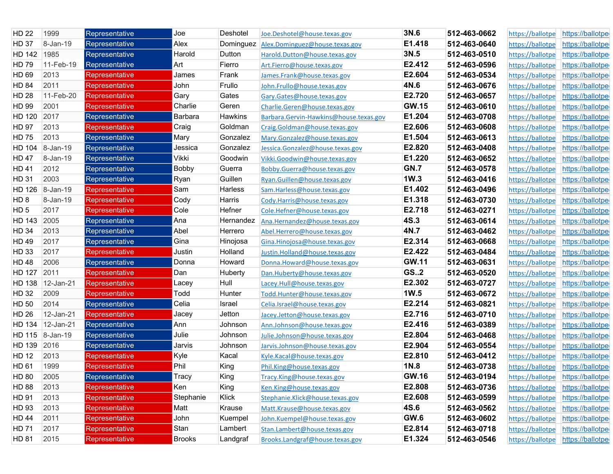| <b>HD 22</b>    | 1999            | Representative        | Joe       | Deshotel       | Joe.Deshotel@house.texas.gov           | 3N.6         | 512-463-0662 | https://ballotpe                  | https://ballotpe |
|-----------------|-----------------|-----------------------|-----------|----------------|----------------------------------------|--------------|--------------|-----------------------------------|------------------|
| <b>HD 37</b>    | 8-Jan-19        | Representative        | Alex      | Dominguez      | Alex.Dominguez@house.texas.gov         | E1.418       | 512-463-0640 | https://ballotpe                  | https://ballotpe |
| HD 142          | 1985            | Representative        | Harold    | Dutton         | Harold.Dutton@house.texas.gov          | 3N.5         | 512-463-0510 | https://ballotpe                  | https://ballotpe |
| HD 79           | 11-Feb-19       | Representative        | Art       | Fierro         | Art.Fierro@house.texas.gov             | E2.412       | 512-463-0596 | https://ballotpe                  | https://ballotpe |
| HD 69           | 2013            | Representative        | James     | Frank          | James.Frank@house.texas.gov            | E2.604       | 512-463-0534 | https://ballotpe                  | https://ballotpe |
| <b>HD 84</b>    | 2011            | <b>Representative</b> | John      | Frullo         | John.Frullo@house.texas.gov            | 4N.6         | 512-463-0676 | https://ballotpe                  | https://ballotpe |
| <b>HD 28</b>    | 11-Feb-20       | Representative        | Gary      | Gates          | Gary.Gates@house.texas.gov             | E2.720       | 512-463-0657 | https://ballotpe                  | https://ballotpe |
| HD 99           | 2001            | Representative        | Charlie   | Geren          | Charlie.Geren@house.texas.gov          | <b>GW.15</b> | 512-463-0610 | https://ballotpe                  | https://ballotpe |
| HD 120          | 2017            | Representative        | Barbara   | <b>Hawkins</b> | Barbara.Gervin-Hawkins@house.texas.gov | E1.204       | 512-463-0708 | https://ballotpe                  | https://ballotpe |
| HD 97           | 2013            | Representative        | Craig     | Goldman        | Craig.Goldman@house.texas.gov          | E2.606       | 512-463-0608 | https://ballotpe                  | https://ballotpe |
| HD 75           | 2013            | Representative        | Mary      | Gonzalez       | Mary.Gonzalez@house.texas.gov          | E1.504       | 512-463-0613 | https://ballotpe                  | https://ballotpe |
| HD 104          | 8-Jan-19        | Representative        | Jessica   | Gonzalez       | Jessica.Gonzalez@house.texas.gov       | E2.820       | 512-463-0408 | https://ballotpe                  | https://ballotpe |
| <b>HD47</b>     | 8-Jan-19        | Representative        | Vikki     | Goodwin        | Vikki.Goodwin@house.texas.gov          | E1.220       | 512-463-0652 | https://ballotpe                  | https://ballotpe |
| <b>HD41</b>     | 2012            | Representative        | Bobby     | Guerra         | Bobby.Guerra@house.texas.gov           | <b>GN.7</b>  | 512-463-0578 | https://ballotpe                  | https://ballotpe |
| <b>HD 31</b>    | 2003            | Representative        | Ryan      | Guillen        | Ryan.Guillen@house.texas.gov           | 1W.3         | 512-463-0416 | https://ballotpe                  | https://ballotpe |
| HD 126          | 8-Jan-19        | Representative        | Sam       | Harless        | Sam.Harless@house.texas.gov            | E1.402       | 512-463-0496 | https://ballotpe                  | https://ballotpe |
| HD <sub>8</sub> | 8-Jan-19        | Representative        | Cody      | Harris         | Cody.Harris@house.texas.gov            | E1.318       | 512-463-0730 | https://ballotpe                  | https://ballotpe |
| HD <sub>5</sub> | 2017            | Representative        | Cole      | Hefner         | Cole.Hefner@house.texas.gov            | E2.718       | 512-463-0271 | https://ballotpe                  | https://ballotpe |
| HD 143          | 2005            | Representative        | Ana       | Hernandez      | Ana.Hernandez@house.texas.gov          | 4S.3         | 512-463-0614 | https://ballotpe                  | https://ballotpe |
| <b>HD 34</b>    | 2013            | Representative        | Abel      | Herrero        | Abel.Herrero@house.texas.gov           | 4N.7         | 512-463-0462 | https://ballotpe                  | https://ballotpe |
| HD 49           | 2017            | Representative        | Gina      | Hinojosa       | Gina.Hinojosa@house.texas.gov          | E2.314       | 512-463-0668 | https://ballotpe                  | https://ballotpe |
| HD 33           | 2017            | <b>Representative</b> | Justin    | Holland        | Justin.Holland@house.texas.gov         | E2.422       | 512-463-0484 | https://ballotpe                  | https://ballotpe |
| <b>HD48</b>     | 2006            | Representative        | Donna     | Howard         | Donna.Howard@house.texas.gov           | <b>GW.11</b> | 512-463-0631 | https://ballotpe                  | https://ballotpe |
| HD 127          | 2011            | Representative        | Dan       | Huberty        | Dan.Huberty@house.texas.gov            | <b>GS2</b>   | 512-463-0520 | https://ballotpe                  | https://ballotpe |
| HD 138          | 12-Jan-21       | <b>Representative</b> | Lacey     | Hull           | Lacey.Hull@house.texas.gov             | E2.302       | 512-463-0727 | https://ballotpe                  | https://ballotpe |
| HD 32           | 2009            | Representative        | Todd      | Hunter         | Todd.Hunter@house.texas.gov            | 1W.5         | 512-463-0672 | https://ballotpe                  | https://ballotpe |
| HD 50           | 2014            | Representative        | Celia     | Israel         | Celia.Israel@house.texas.gov           | E2.214       | 512-463-0821 | https://ballotpe                  | https://ballotpe |
| <b>HD 26</b>    | 12-Jan-21       | Representative        | Jacey     | Jetton         | Jacey.Jetton@house.texas.gov           | E2.716       | 512-463-0710 | https://ballotpe                  | https://ballotpe |
| <b>HD 134</b>   | 12-Jan-21       | Representative        | Ann       | Johnson        | Ann.Johnson@house.texas.gov            | E2.416       | 512-463-0389 | https://ballotpe                  | https://ballotpe |
|                 | HD 115 8-Jan-19 | Representative        | Julie     | Johnson        | Julie.Johnson@house.texas.gov          | E2.804       | 512-463-0468 | https://ballotpe                  | https://ballotpe |
| HD 139          | 2016            | Representative        | Jarvis    | Johnson        | Jarvis.Johnson@house.texas.gov         | E2.904       | 512-463-0554 | https://ballotpe                  | https://ballotpe |
| HD 12           | 2013            | Representative        | Kyle      | Kacal          | Kyle.Kacal@house.texas.gov             | E2.810       | 512-463-0412 | https://ballotpe                  | https://ballotpe |
| HD 61           | 1999            | Representative        | Phil      | King           | Phil.King@house.texas.gov              | 1N.8         | 512-463-0738 | https://ballotpe                  | https://ballotpe |
| HD 80           | 2005            | Representative_       | i racy    | King           | Tracy.King@house.texas.gov             | <b>GW.16</b> | 512-463-0194 | https://ballotpe                  | https://ballotpe |
| <b>HD 88</b>    | 2013            | <b>Representative</b> | Ken       | King           | Ken.King@house.texas.gov               | E2.808       | 512-463-0736 | https://ballotpe                  | https://ballotpe |
| HD 91           | 2013            | Representative        | Stephanie | Klick          | Stephanie.Klick@house.texas.gov        | E2.608       | 512-463-0599 | https://ballotpe                  | https://ballotpe |
| HD 93           | 2013            | Representative        | Matt      | Krause         | Matt.Krause@house.texas.gov            | <b>4S.6</b>  | 512-463-0562 | https://ballotpe                  | https://ballotpe |
| <b>HD 44</b>    | 2011            | Representative        | John      | Kuempel        | John.Kuempel@house.texas.gov           | GW.6         | 512-463-0602 | https://ballotpe                  | https://ballotpe |
| <b>HD 71</b>    | 2017            | <b>Representative</b> | Stan      | Lambert        | Stan.Lambert@house.texas.gov           | E2.814       | 512-463-0718 | https://ballotpe                  | https://ballotpe |
| <b>HD 81</b>    | 2015            | Representative        | Brooks    | Landgraf       | Brooks.Landgraf@house.texas.gov        | E1.324       | 512-463-0546 | https://ballotpe https://ballotpe |                  |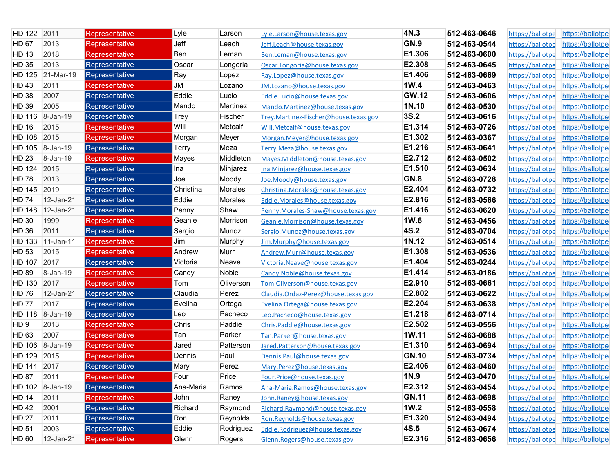| 2011<br>HD 122             | Representative        | Lyle      | Larson    | Lyle.Larson@house.texas.gov           | 4N.3         | 512-463-0646 | https://ballotpe                  | https://ballotpe                  |
|----------------------------|-----------------------|-----------|-----------|---------------------------------------|--------------|--------------|-----------------------------------|-----------------------------------|
| 2013<br><b>HD 67</b>       | Representative        | Jeff      | Leach     | Jeff.Leach@house.texas.gov            | <b>GN.9</b>  | 512-463-0544 | https://ballotpe                  | https://ballotpe                  |
| 2018<br><b>HD 13</b>       | Representative        | Ben       | Leman     | Ben.Leman@house.texas.gov             | E1.306       | 512-463-0600 | https://ballotpe                  | https://ballotpe                  |
| HD 35<br>2013              | Representative        | Oscar     | Longoria  | Oscar.Longoria@house.texas.gov        | E2.308       | 512-463-0645 | https://ballotpe                  | https://ballotpe                  |
| 21-Mar-19<br>HD 125        | Representative        | Ray       | Lopez     | Ray.Lopez@house.texas.gov             | E1.406       | 512-463-0669 | https://ballotpe                  | https://ballotpe                  |
| <b>HD43</b><br>2011        | Representative        | JM        | Lozano    | JM.Lozano@house.texas.gov             | 1W.4         | 512-463-0463 | https://ballotpe                  | https://ballotpe                  |
| <b>HD 38</b><br>2007       | Representative        | Eddie     | Lucio     | Eddie.Lucio@house.texas.gov           | <b>GW.12</b> | 512-463-0606 | https://ballotpe                  | https://ballotpe                  |
| HD 39<br>2005              | Representative        | Mando     | Martinez  | Mando.Martinez@house.texas.gov        | 1N.10        | 512-463-0530 | https://ballotpe                  | https://ballotpe                  |
| HD 116<br>8-Jan-19         | Representative        | Trey      | Fischer   | Trey.Martinez-Fischer@house.texas.gov | <b>3S.2</b>  | 512-463-0616 | https://ballotpe                  | https://ballotpe                  |
| <b>HD 16</b><br>2015       | Representative        | Will      | Metcalf   | Will.Metcalf@house.texas.gov          | E1.314       | 512-463-0726 | https://ballotpe                  | https://ballotpe                  |
| HD 108<br>2015             | Representative        | Morgan    | Meyer     | Morgan.Meyer@house.texas.gov          | E1.302       | 512-463-0367 | https://ballotpe                  | https://ballotpe                  |
| HD 105<br>$ 8 - Jan - 19 $ | Representative        | Terry     | Meza      | Terry.Meza@house.texas.gov            | E1.216       | 512-463-0641 | https://ballotpe                  | https://ballotpe                  |
| HD 23<br>8-Jan-19          | Representative        | Mayes     | Middleton | Mayes.Middleton@house.texas.gov       | E2.712       | 512-463-0502 | https://ballotpe                  | https://ballotpe                  |
| HD 124<br>2015             | Representative        | Ina       | Minjarez  | Ina.Minjarez@house.texas.gov          | E1.510       | 512-463-0634 | https://ballotpe                  | https://ballotpe                  |
| <b>HD78</b><br>2013        | Representative        | Joe       | Moody     | Joe.Moody@house.texas.gov             | <b>GN.8</b>  | 512-463-0728 | https://ballotpe                  | https://ballotpe                  |
| 2019<br><b>HD 145</b>      | Representative        | Christina | Morales   | Christina.Morales@house.texas.gov     | E2.404       | 512-463-0732 | https://ballotpe                  | https://ballotpe                  |
| <b>HD 74</b><br>12-Jan-21  | Representative        | Eddie     | Morales   | Eddie.Morales@house.texas.gov         | E2.816       | 512-463-0566 | https://ballotpe                  | https://ballotpe                  |
| <b>HD 148</b><br>12-Jan-21 | Representative        | Penny     | Shaw      | Penny.Morales-Shaw@house.texas.gov    | E1.416       | 512-463-0620 | https://ballotpe                  | https://ballotpe                  |
| HD 30<br>1999              | Representative        | Geanie    | Morrison  | Geanie.Morrison@house.texas.gov       | 1W.6         | 512-463-0456 | https://ballotpe                  | https://ballotpe                  |
| HD 36<br>2011              | Representative        | Sergio    | Munoz     | Sergio.Munoz@house.texas.gov          | <b>4S.2</b>  | 512-463-0704 | https://ballotpe                  | https://ballotpe                  |
| HD 133<br>$11-Jan-11$      | Representative_       | Jim       | Murphy    | Jim.Murphy@house.texas.gov            | 1N.12        | 512-463-0514 | https://ballotpe                  | https://ballotpe                  |
| HD 53<br>2015              | Representative        | Andrew    | Murr      | Andrew.Murr@house.texas.gov           | E1.308       | 512-463-0536 | https://ballotpe                  | https://ballotpe                  |
| HD 107<br>2017             | Representative        | Victoria  | Neave     | Victoria.Neave@house.texas.gov        | E1.404       | 512-463-0244 | https://ballotpe                  | https://ballotpe                  |
| HD 89<br>8-Jan-19          | Representative        | Candy     | Noble     | Candy.Noble@house.texas.gov           | E1.414       | 512-463-0186 | https://ballotpe                  | https://ballotpe                  |
| HD 130<br>2017             | Representative        | Tom       | Oliverson | Tom.Oliverson@house.texas.gov         | E2.910       | 512-463-0661 | https://ballotpe                  | https://ballotpe                  |
| <b>HD 76</b><br>12-Jan-21  | Representative        | Claudia   | Perez     | Claudia.Ordaz-Perez@house.texas.gov   | E2.802       | 512-463-0622 | https://ballotpe                  | https://ballotpe                  |
| 2017<br><b>HD 77</b>       | Representative        | Evelina   | Ortega    | Evelina.Ortega@house.texas.gov        | E2.204       | 512-463-0638 | https://ballotpe                  | https://ballotpe                  |
| HD 118<br>8-Jan-19         | Representative        | Leo       | Pacheco   | Leo.Pacheco@house.texas.gov           | E1.218       | 512-463-0714 | https://ballotpe                  | https://ballotpe                  |
| 2013<br>HD <sub>9</sub>    | Representative        | Chris     | Paddie    | Chris.Paddie@house.texas.gov          | E2.502       | 512-463-0556 | https://ballotpe                  | https://ballotpe                  |
| 2007<br>HD 63              | Representative        | Tan       | Parker    | Tan.Parker@house.texas.gov            | 1W.11        | 512-463-0688 | https://ballotpe                  | https://ballotpe                  |
| HD 106<br>8-Jan-19         | Representative        | Jared     | Patterson | Jared.Patterson@house.texas.gov       | E1.310       | 512-463-0694 | https://ballotpe                  | https://ballotpe                  |
| HD 129<br>2015             | <b>Representative</b> | Dennis    | Paul      | Dennis.Paul@house.texas.gov           | <b>GN.10</b> | 512-463-0734 | https://ballotpe                  | https://ballotpe                  |
| HD 144 2017                | Representative        | Mary      | Perez     | Mary.Perez@house.texas.gov            | E2.406       | 512-463-0460 | https://ballotpe https://ballotpe |                                   |
| <b>HD 87</b><br>2011       | Representative        | Four      | Price     | Four.Price@house.texas.gov            | 1N.9         | 512-463-0470 | https://ballotpe                  | https://ballotpe                  |
| HD 102 8-Jan-19            | Representative        | Ana-Maria | Ramos     | Ana-Maria.Ramos@house.texas.gov       | E2.312       | 512-463-0454 | https://ballotpe                  | https://ballotpe                  |
| <b>HD 14</b><br>2011       | <b>Representative</b> | John      | Raney     | John.Raney@house.texas.gov            | <b>GN.11</b> | 512-463-0698 | https://ballotpe                  | https://ballotpe                  |
| <b>HD42</b><br>2001        | Representative        | Richard   | Raymond   | Richard.Raymond@house.texas.gov       | 1W.2         | 512-463-0558 |                                   | https://ballotpe https://ballotpe |
| 2011<br><b>HD 27</b>       | Representative        | Ron       | Reynolds  | Ron.Reynolds@house.texas.gov          | E1.320       | 512-463-0494 | https://ballotpe                  | https://ballotpe                  |
| 2003<br>HD 51              | Representative        | Eddie     | Rodriguez | Eddie.Rodriguez@house.texas.gov       | <b>4S.5</b>  | 512-463-0674 | https://ballotpe                  | https://ballotpe                  |
| HD 60<br>12-Jan-21         | Representative        | Glenn     | Rogers    | Glenn.Rogers@house.texas.gov          | E2.316       | 512-463-0656 | https://ballotpe https://ballotpe |                                   |